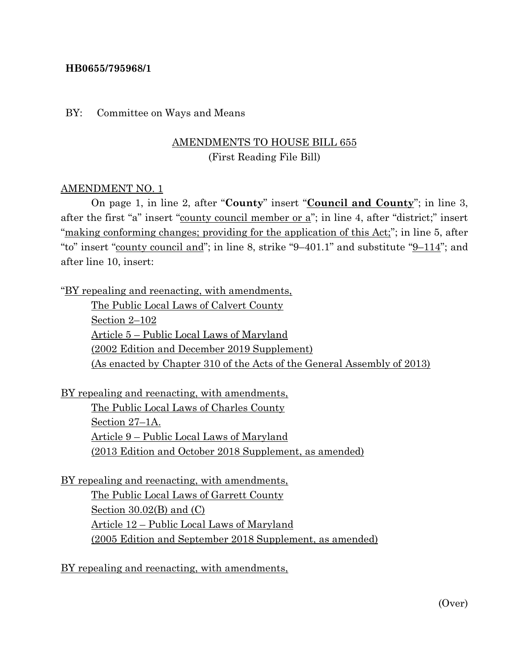### **HB0655/795968/1**

#### BY: Committee on Ways and Means

# AMENDMENTS TO HOUSE BILL 655 (First Reading File Bill)

#### AMENDMENT NO. 1

On page 1, in line 2, after "**County**" insert "**Council and County**"; in line 3, after the first "a" insert "county council member or a"; in line 4, after "district;" insert "making conforming changes; providing for the application of this Act;"; in line 5, after "to" insert "county council and"; in line 8, strike "9–401.1" and substitute "9–114"; and after line 10, insert:

"BY repealing and reenacting, with amendments,

The Public Local Laws of Calvert County Section 2–102 Article 5 – Public Local Laws of Maryland (2002 Edition and December 2019 Supplement) (As enacted by Chapter 310 of the Acts of the General Assembly of 2013)

BY repealing and reenacting, with amendments, The Public Local Laws of Charles County Section 27–1A. Article 9 – Public Local Laws of Maryland (2013 Edition and October 2018 Supplement, as amended)

BY repealing and reenacting, with amendments, The Public Local Laws of Garrett County Section  $30.02(B)$  and  $(C)$ Article 12 – Public Local Laws of Maryland (2005 Edition and September 2018 Supplement, as amended)

BY repealing and reenacting, with amendments,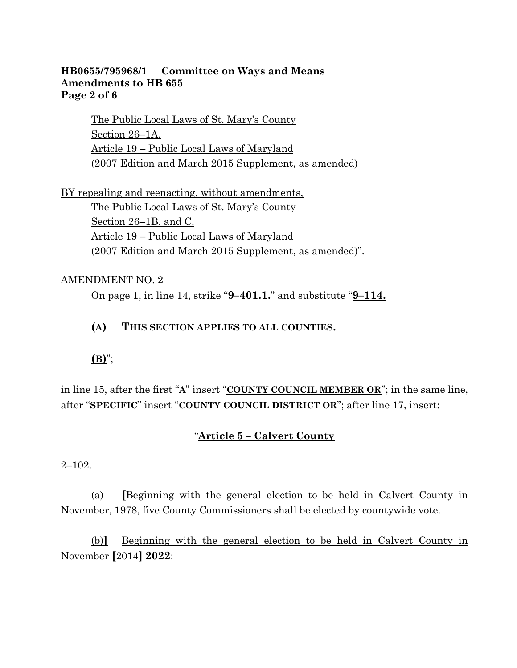## **HB0655/795968/1 Committee on Ways and Means Amendments to HB 655 Page 2 of 6**

The Public Local Laws of St. Mary's County Section 26–1A. Article 19 – Public Local Laws of Maryland (2007 Edition and March 2015 Supplement, as amended)

BY repealing and reenacting, without amendments, The Public Local Laws of St. Mary's County Section 26–1B. and C. Article 19 – Public Local Laws of Maryland (2007 Edition and March 2015 Supplement, as amended)".

## AMENDMENT NO. 2

On page 1, in line 14, strike "**9–401.1.**" and substitute "**9–114.**

## **(A) THIS SECTION APPLIES TO ALL COUNTIES.**

# **(B)**";

in line 15, after the first "**A**" insert "**COUNTY COUNCIL MEMBER OR**"; in the same line, after "**SPECIFIC**" insert "**COUNTY COUNCIL DISTRICT OR**"; after line 17, insert:

### "**Article 5 – Calvert County**

#### 2–102.

(a) **[**Beginning with the general election to be held in Calvert County in November, 1978, five County Commissioners shall be elected by countywide vote.

(b)**]** Beginning with the general election to be held in Calvert County in November **[**2014**] 2022**: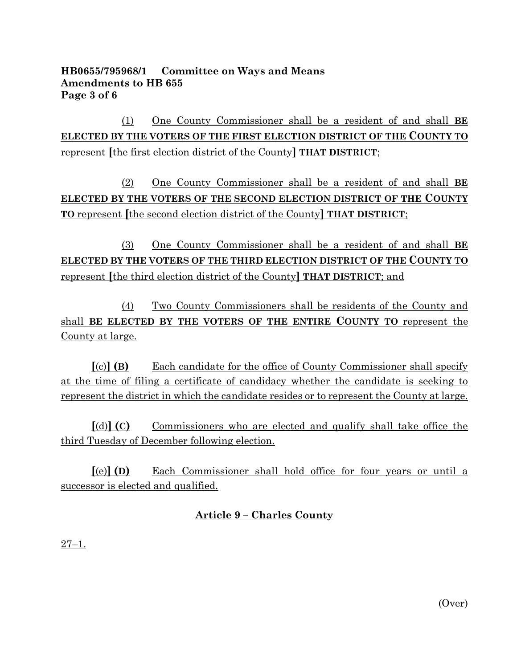## **HB0655/795968/1 Committee on Ways and Means Amendments to HB 655 Page 3 of 6**

(1) One County Commissioner shall be a resident of and shall **BE ELECTED BY THE VOTERS OF THE FIRST ELECTION DISTRICT OF THE COUNTY TO**  represent **[**the first election district of the County**] THAT DISTRICT**;

(2) One County Commissioner shall be a resident of and shall **BE ELECTED BY THE VOTERS OF THE SECOND ELECTION DISTRICT OF THE COUNTY TO** represent **[**the second election district of the County**] THAT DISTRICT**;

(3) One County Commissioner shall be a resident of and shall **BE ELECTED BY THE VOTERS OF THE THIRD ELECTION DISTRICT OF THE COUNTY TO**  represent **[**the third election district of the County**] THAT DISTRICT**; and

(4) Two County Commissioners shall be residents of the County and shall **BE ELECTED BY THE VOTERS OF THE ENTIRE COUNTY TO** represent the County at large.

**[**(c)**] (B)** Each candidate for the office of County Commissioner shall specify at the time of filing a certificate of candidacy whether the candidate is seeking to represent the district in which the candidate resides or to represent the County at large.

**[**(d)**] (C)** Commissioners who are elected and qualify shall take office the third Tuesday of December following election.

**[**(e)**] (D)** Each Commissioner shall hold office for four years or until a successor is elected and qualified.

# **Article 9 – Charles County**

27–1.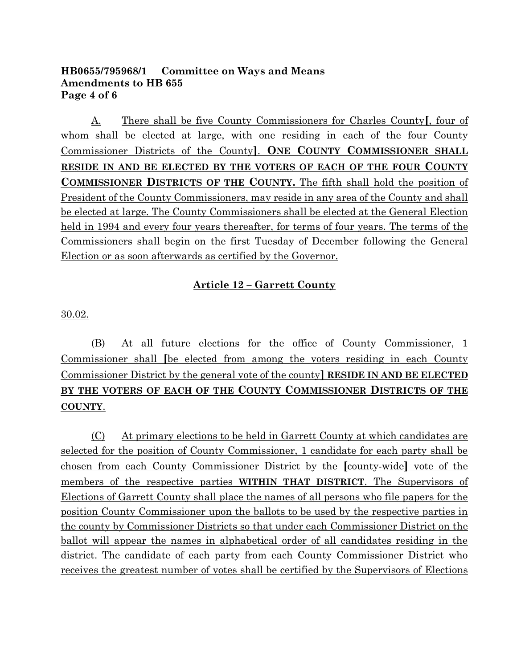## **HB0655/795968/1 Committee on Ways and Means Amendments to HB 655 Page 4 of 6**

A. There shall be five County Commissioners for Charles County**[**, four of whom shall be elected at large, with one residing in each of the four County Commissioner Districts of the County**]**. **ONE COUNTY COMMISSIONER SHALL RESIDE IN AND BE ELECTED BY THE VOTERS OF EACH OF THE FOUR COUNTY COMMISSIONER DISTRICTS OF THE COUNTY.** The fifth shall hold the position of President of the County Commissioners, may reside in any area of the County and shall be elected at large. The County Commissioners shall be elected at the General Election held in 1994 and every four years thereafter, for terms of four years. The terms of the Commissioners shall begin on the first Tuesday of December following the General Election or as soon afterwards as certified by the Governor.

# **Article 12 – Garrett County**

30.02.

(B) At all future elections for the office of County Commissioner, 1 Commissioner shall **[**be elected from among the voters residing in each County Commissioner District by the general vote of the county**] RESIDE IN AND BE ELECTED BY THE VOTERS OF EACH OF THE COUNTY COMMISSIONER DISTRICTS OF THE COUNTY**.

(C) At primary elections to be held in Garrett County at which candidates are selected for the position of County Commissioner, 1 candidate for each party shall be chosen from each County Commissioner District by the **[**county-wide**]** vote of the members of the respective parties **WITHIN THAT DISTRICT**. The Supervisors of Elections of Garrett County shall place the names of all persons who file papers for the position County Commissioner upon the ballots to be used by the respective parties in the county by Commissioner Districts so that under each Commissioner District on the ballot will appear the names in alphabetical order of all candidates residing in the district. The candidate of each party from each County Commissioner District who receives the greatest number of votes shall be certified by the Supervisors of Elections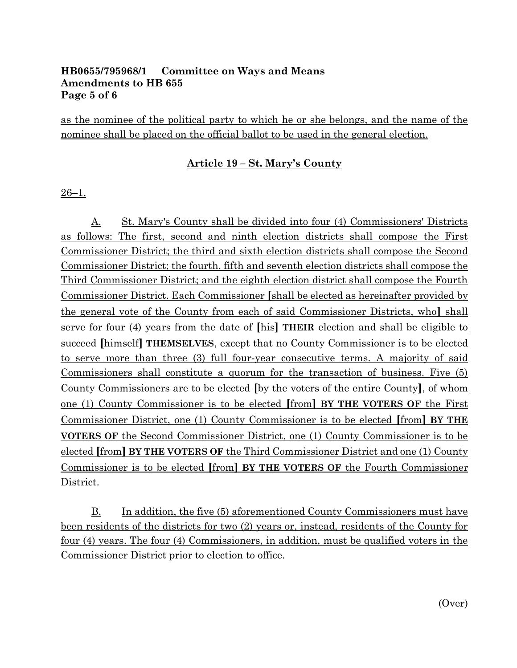## **HB0655/795968/1 Committee on Ways and Means Amendments to HB 655 Page 5 of 6**

as the nominee of the political party to which he or she belongs, and the name of the nominee shall be placed on the official ballot to be used in the general election.

# **Article 19 – St. Mary's County**

26–1.

A. St. Mary's County shall be divided into four (4) Commissioners' Districts as follows: The first, second and ninth election districts shall compose the First Commissioner District; the third and sixth election districts shall compose the Second Commissioner District; the fourth, fifth and seventh election districts shall compose the Third Commissioner District; and the eighth election district shall compose the Fourth Commissioner District. Each Commissioner **[**shall be elected as hereinafter provided by the general vote of the County from each of said Commissioner Districts, who**]** shall serve for four (4) years from the date of **[**his**] THEIR** election and shall be eligible to succeed **[**himself**] THEMSELVES**, except that no County Commissioner is to be elected to serve more than three (3) full four-year consecutive terms. A majority of said Commissioners shall constitute a quorum for the transaction of business. Five (5) County Commissioners are to be elected **[**by the voters of the entire County**]**, of whom one (1) County Commissioner is to be elected **[**from**] BY THE VOTERS OF** the First Commissioner District, one (1) County Commissioner is to be elected **[**from**] BY THE VOTERS OF** the Second Commissioner District, one (1) County Commissioner is to be elected **[**from**] BY THE VOTERS OF** the Third Commissioner District and one (1) County Commissioner is to be elected **[**from**] BY THE VOTERS OF** the Fourth Commissioner District.

B. In addition, the five (5) aforementioned County Commissioners must have been residents of the districts for two (2) years or, instead, residents of the County for four (4) years. The four (4) Commissioners, in addition, must be qualified voters in the Commissioner District prior to election to office.